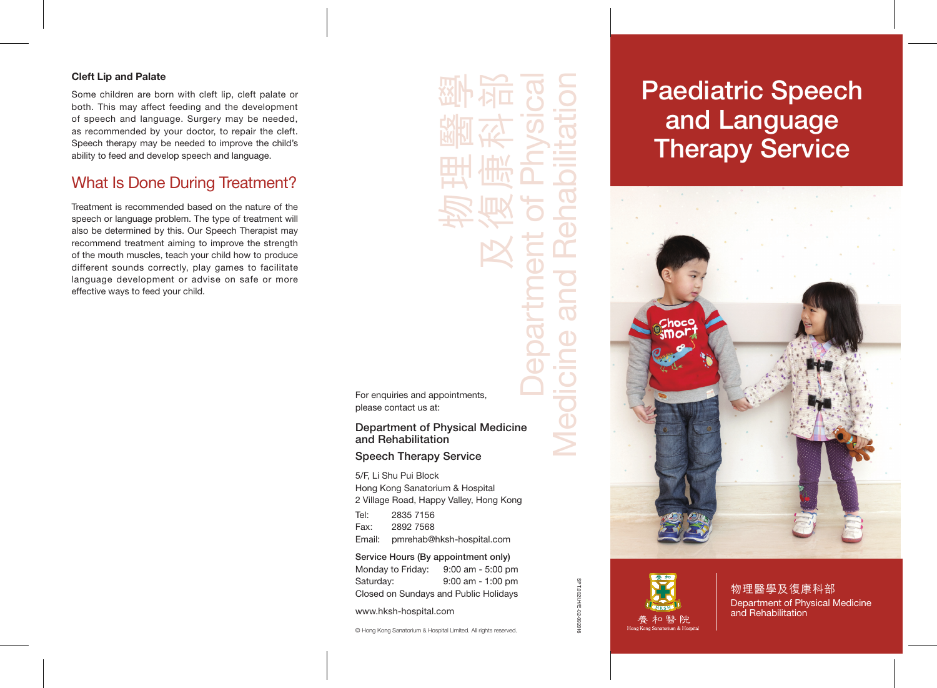## Cleft Lip and Palate

Some children are born with cleft lip, cleft palate or both. This may affect feeding and the development of speech and language. Surgery may be needed, as recommended by your doctor, to repair the cleft. Speech therapy may be needed to improve the child's ability to feed and develop speech and language.

# What Is Done During Treatment?

Treatment is recommended based on the nature of the speech or language problem. The type of treatment will also be determined by this. Our Speech Therapist may recommend treatment aiming to improve the strength of the mouth muscles, teach your child how to produce different sounds correctly, play games to facilitate language development or advise on safe or more effective ways to feed your child.

物理醫學 及復康科部 Department of Physical Medicine and Rehabilitation For enquiries and appointments, please contact us at: Department of Physical Medicine and Rehabilitation Speech Therapy Service 5/F, Li Shu Pui Block Hong Kong Sanatorium & Hospital 2 Village Road, Happy Valley, Hong Kong Tel: 2835 7156

Fax: 2892 7568 Email: pmrehab@hksh-hospital.com

Service Hours (By appointment only) Monday to Friday: 9:00 am - 5:00 pm Saturday: 9:00 am - 1:00 pm Closed on Sundays and Public Holidays

www.hksh-hospital.com

© Hong Kong Sanatorium & Hospital Limited. All rights reserved.

# Paediatric Speech and Language Therapy Service



SPT.002I.H/E-02-092016

SPT.002l.H/E-02

物理醫學及復康科部 Department of Physical Medicine and Rehabilitation